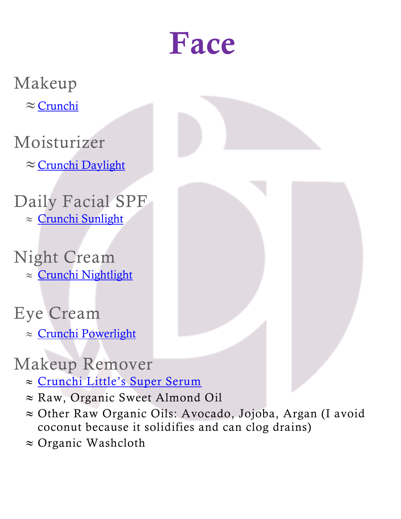## Face

Makeup

 $\approx$  [Crunchi](http://www.crunchi.com/KristinaTupman)

Moisturizer

 $\approx$  [Crunchi Daylight](http://www.crunchi.com/KristinaTupman)

Daily Facial SPF  $\approx$  [Crunchi Sunlight](http://www.crunchi.com/KristinaTupman)

Night Cream  $\approx$  [Crunchi Nightlight](http://www.crunchi.com/KristinaTupman)

#### Eye Cream

 $\approx$  [Crunchi Powerlight](http://www.crunchi.com/KristinaTupman)

#### Makeup Remover

- [Crunchi Little's Super Serum](http://www.crunchi.com/KristinaTupman)
- $\approx$  Raw, Organic Sweet Almond Oil
- $\approx$  Other Raw Organic Oils: Avocado, Jojoba, Argan (I avoid coconut because it solidifies and can clog drains)
- $\approx$  Organic Washcloth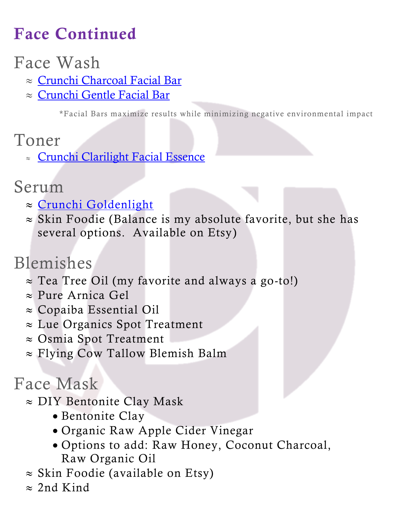## Face Continued

#### Face Wash

- ≈ Crunchi [Charcoal](http://www.crunchi.com/KristinaTupman) Facial Bar
- $\approx$  [Crunchi](http://www.crunchi.com/KristinaTupman) Gentle Facial Bar

\*Facial Bars maximize results while minimizing negative environmental impact

- Toner
	- [Crunchi](http://www.crunchi.com/KristinaTupman) Clarilight Facial Essence

#### Serum

- $\approx$  [Crunchi Goldenlight](http://www.crunchi.com/KristinaTupman)
- $\approx$  Skin Foodie (Balance is my absolute favorite, but she has several options. Available on Etsy)

## Blemishes

- $\approx$  Tea Tree Oil (my favorite and always a go-to!)
- $\approx$  Pure Arnica Gel
- $\approx$  Copaiba Essential Oil
- $\approx$  Lue Organics Spot Treatment
- $\approx$  Osmia Spot Treatment
- $\approx$  Flying Cow Tallow Blemish Balm

#### Face Mask

- $\approx$  DIY Bentonite Clay Mask
	- Bentonite Clay
	- Organic Raw Apple Cider Vinegar
	- Options to add: Raw Honey, Coconut Charcoal, Raw Organic Oil
- $\approx$  Skin Foodie (available on Etsy)
- $\approx$  2nd Kind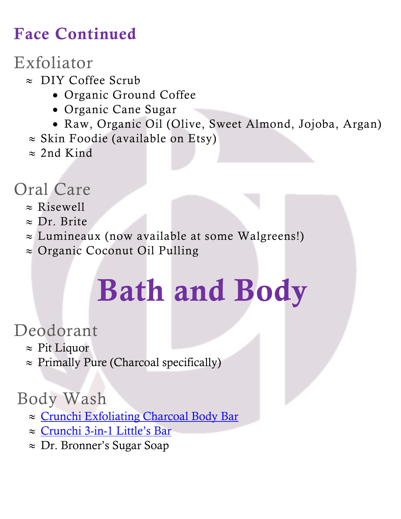### Face Continued

### Exfoliator

- $\approx$  DIY Coffee Scrub
	- Organic Ground Coffee
	- Organic Cane Sugar
	- Raw, Organic Oil (Olive, Sweet Almond, Jojoba, Argan)
- $\approx$  Skin Foodie (available on Etsy)
- $\approx$  2nd Kind

#### Oral Care

- $\approx$  Risewell
- $\approx$  Dr. Brite
- $\approx$  Lumineaux (now available at some Walgreens!)
- $\approx$  Organic Coconut Oil Pulling

# Bath and Body

#### Deodorant

- $\approx$  Pit Liquor
- $\approx$  Primally Pure (Charcoal specifically)

#### Body Wash

- $\approx$  [Crunchi Exfoliating Charcoal Body Bar](http://www.crunchi.com/KristinaTupman)
- $\approx$  [Crunchi 3-in-](http://www.crunchi.com/KristinaTupman)1 Little's Bar
- $\approx$  Dr. Bronner's Sugar Soap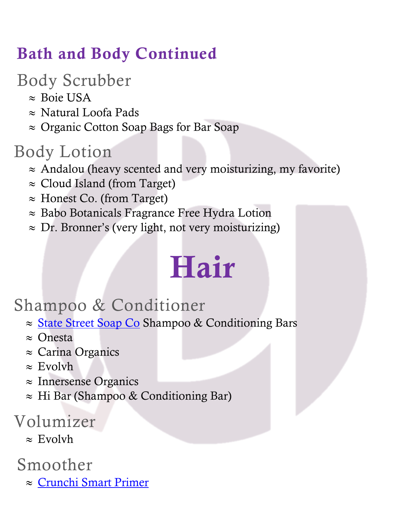### Bath and Body Continued

Body Scrubber

- $\approx$  Boie USA
- $\approx$  Natural Loofa Pads
- $\approx$  Organic Cotton Soap Bags for Bar Soap

## Body Lotion

- $\approx$  Andalou (heavy scented and very moisturizing, my favorite)
- $\approx$  Cloud Island (from Target)
- $\approx$  Honest Co. (from Target)
- $\approx$  Babo Botanicals Fragrance Free Hydra Lotion
- $\approx$  Dr. Bronner's (very light, not very moisturizing)

## Hair

#### Shampoo & Conditioner

- ≈ [State Street Soap Co](file://///bemis/dfs/Office/MLP%20Marketing/statestreetsoapco.com) Shampoo & Conditioning Bars
- $\approx$  Onesta
- $\approx$  Carina Organics
- $\approx$  Evolvh
- $\approx$  Innersense Organics
- $\approx$  Hi Bar (Shampoo & Conditioning Bar)

#### Volumizer

 $\approx$  Evolvh

#### Smoother

 $\approx$  [Crunchi Smart Primer](http://www.crunchi.com/KristinaTupman)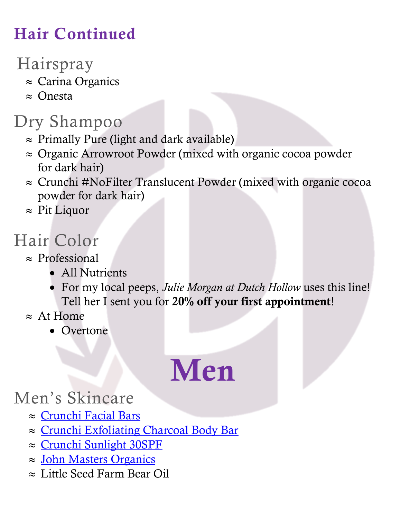## Hair Continued

### Hairspray

- $\approx$  Carina Organics
- $\approx$  Onesta

#### Dry Shampoo

- $\approx$  Primally Pure (light and dark available)
- $\approx$  Organic Arrowroot Powder (mixed with organic cocoa powder for dark hair)
- $\approx$  Crunchi #NoFilter Translucent Powder (mixed with organic cocoa powder for dark hair)
- $\approx$  Pit Liquor

### Hair Color

- $\approx$  Professional
	- All Nutrients
	- For my local peeps, *Julie Morgan at Dutch Hollow* uses this line! Tell her I sent you for 20% off your first appointment!
- $\approx$  At Home
	- Overtone

# Men

#### Men's Skincare

- $\approx$  [Crunchi Facial Bars](http://www.crunchi.com/KristinaTupman)
- $\approx$  [Crunchi Exfoliating Charcoal Body Bar](http://www.crunchi.com/KristinaTupman)
- $\approx$  [Crunchi Sunlight 30SPF](http://www.crunchi.com/KristinaTupman)
- $\approx$  [John Masters](https://johnmasters.com/collections/all?utm_source=Google&utm_medium=Search&utm_campaign=Brand_Core&gclid=Cj0KCQiAjJOQBhCkARIsAEKMtO0erVumLz_Q1wQ3MwkMddlmzY05wePOsUXw5ZoTQb-u4kBT5puPaj0aAmdGEALw_wcB) Organics
- $\approx$  Little Seed Farm Bear Oil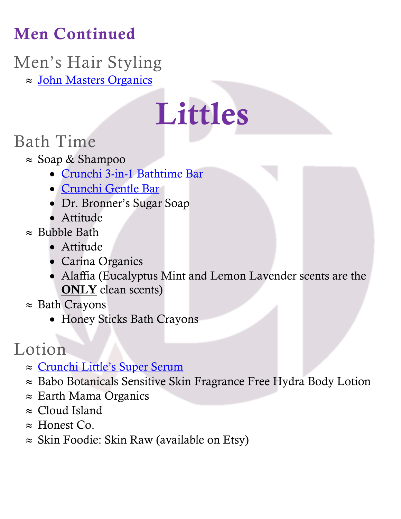## Men Continued

## Men's Hair Styling

 $\approx$  [John Masters Organics](https://johnmasters.com/collections/all?utm_source=Google&utm_medium=Search&utm_campaign=Brand_Core&gclid=Cj0KCQiAjJOQBhCkARIsAEKMtO0erVumLz_Q1wQ3MwkMddlmzY05wePOsUXw5ZoTQb-u4kBT5puPaj0aAmdGEALw_wcB)

# Littles

#### Bath Time

- $\approx$  Soap & Shampoo
	- [Crunchi 3-in-1 Bathtime Bar](http://www.crunchi.com/KristinaTupman)
	- [Crunchi Gentle Bar](http://www.crunchi.com/KristinaTupman)
	- Dr. Bronner's Sugar Soap
	- Attitude
- $\approx$  Bubble Bath
	- Attitude
	- Carina Organics
	- Alaffia (Eucalyptus Mint and Lemon Lavender scents are the ONLY clean scents)
- $\approx$  Bath Crayons
	- Honey Sticks Bath Crayons

### Lotion

- ≈ [Crunchi Little's Super Serum](http://www.crunchi.com/KristinaTupman)
- $\approx$  Babo Botanicals Sensitive Skin Fragrance Free Hydra Body Lotion
- $\approx$  Earth Mama Organics
- $\approx$  Cloud Island
- $\approx$  Honest Co.
- $\approx$  Skin Foodie: Skin Raw (available on Etsy)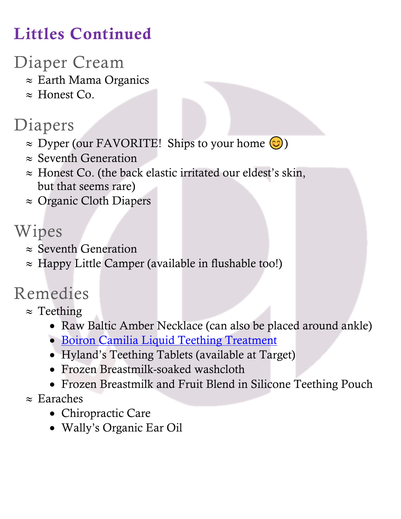## Littles Continued

#### Diaper Cream

- $\approx$  Earth Mama Organics
- $\approx$  Honest Co.

### Diapers

- $\approx$  Dyper (our FAVORITE! Ships to your home  $\odot$ )
- $\approx$  Seventh Generation
- $\approx$  Honest Co. (the back elastic irritated our eldest's skin, but that seems rare)
- $\approx$  Organic Cloth Diapers

#### Wipes

- $\approx$  Seventh Generation
- $\approx$  Happy Little Camper (available in flushable too!)

## Remedies

- $\approx$  Teething
	- Raw Baltic Amber Necklace (can also be placed around ankle)
	- [Boiron Camilia Liquid Teething Treatment](https://www.camiliateething.com/google/?gclid=Cj0KCQiAr5iQBhCsARIsAPcwROM6mx7UwQeGoho9RLwThgwZvEMZiiVst1-SqeH0t3db0_Jxbby3a8UaAl3jEALw_wcB)
	- Hyland's Teething Tablets (available at Target)
	- Frozen Breastmilk-soaked washcloth
	- Frozen Breastmilk and Fruit Blend in Silicone Teething Pouch

#### $\approx$  Earaches

- Chiropractic Care
- Wally's Organic Ear Oil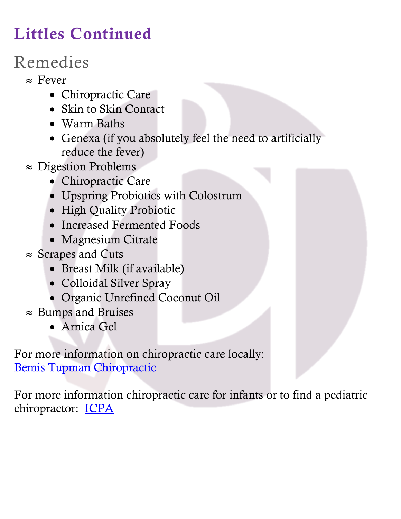## Littles Continued

## Remedies

 $\approx$  Fever

- Chiropractic Care
- Skin to Skin Contact
- Warm Baths
- Genexa (if you absolutely feel the need to artificially reduce the fever)
- $\approx$  Digestion Problems
	- Chiropractic Care
	- Upspring Probiotics with Colostrum
	- High Quality Probiotic
	- Increased Fermented Foods
	- Magnesium Citrate
- $\approx$  Scrapes and Cuts
	- Breast Milk (if available)
	- Colloidal Silver Spray
	- Organic Unrefined Coconut Oil
- $\approx$  Bumps and Bruises
	- Arnica Gel

For more information on chiropractic care locally: [Bemis Tupman Chiropractic](file://///bemis/dfs/Office/MLP%20Marketing/BemisTupmanChiropractic.com)

For more information chiropractic care for infants or to find a pediatric chiropractor: **[ICPA](https://icpa4kids.com/find-a-pediatric-chiropractor/)**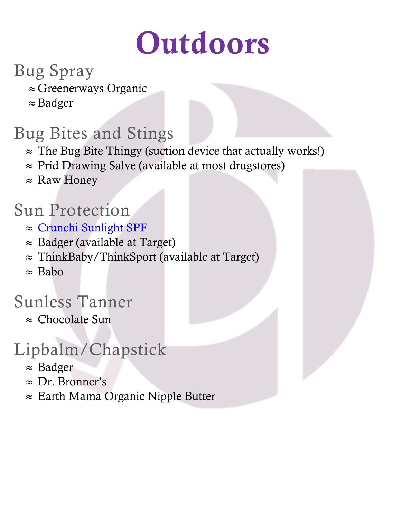# **Outdoors**

#### Bug Spray

- $\approx$  Greenerways Organic
- $\approx$  Badger

## Bug Bites and Stings

- $\approx$  The Bug Bite Thingy (suction device that actually works!)
- $\approx$  Prid Drawing Salve (available at most drugstores)
- $\approx$  Raw Honey

#### Sun Protection

- $\approx$  [Crunchi Sunlight SPF](http://www.crunchi.com/KristinaTupman)
- $\approx$  Badger (available at Target)
- $\approx$  ThinkBaby/ThinkSport (available at Target)
- $\approx$  Babo

### Sunless Tanner

 $\approx$  Chocolate Sun

## Lipbalm/Chapstick

- $\approx$  Badger
- $\approx$  Dr. Bronner's
- $\approx$  Earth Mama Organic Nipple Butter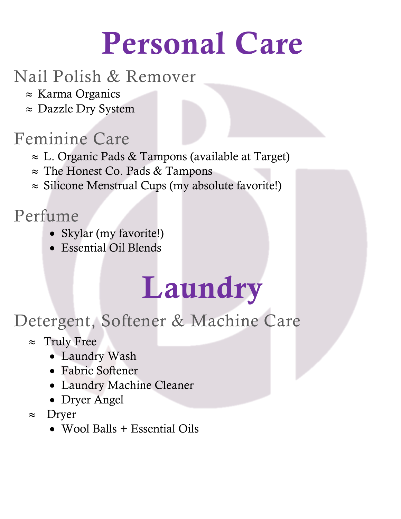# Personal Care

#### Nail Polish & Remover

- $\approx$  Karma Organics
- $\approx$  Dazzle Dry System

### Feminine Care

- $\approx$  L. Organic Pads & Tampons (available at Target)
- $\approx$  The Honest Co. Pads & Tampons
- $\approx$  Silicone Menstrual Cups (my absolute favorite!)

#### Perfume

- Skylar (my favorite!)
- Essential Oil Blends

## Laundry

### Detergent, Softener & Machine Care

- $\approx$  Truly Free
	- Laundry Wash
	- Fabric Softener
	- Laundry Machine Cleaner
	- Dryer Angel
- $\approx$  Dryer
	- Wool Balls + Essential Oils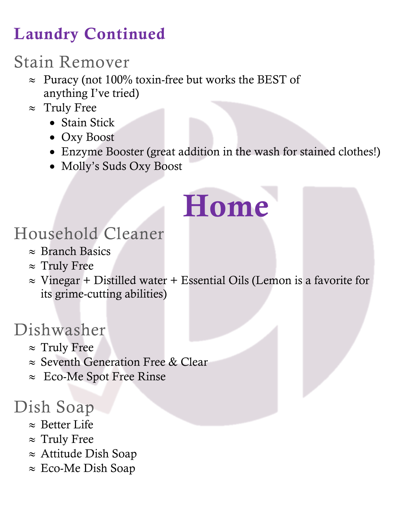## Laundry Continued

### Stain Remover

- $\approx$  Puracy (not 100% toxin-free but works the BEST of anything I've tried)
- $\approx$  Truly Free
	- Stain Stick
	- Oxy Boost
	- Enzyme Booster (great addition in the wash for stained clothes!)
	- Molly's Suds Oxy Boost

# Home

#### Household Cleaner

- $\approx$  Branch Basics
- $\approx$  Truly Free
- $\approx$  Vinegar + Distilled water + Essential Oils (Lemon is a favorite for its grime-cutting abilities)

#### Dishwasher

- $\approx$  Truly Free
- $\approx$  Seventh Generation Free & Clear
- $\approx$  Eco-Me Spot Free Rinse

#### Dish Soap

- $\approx$  Better Life
- $\approx$  Truly Free
- $\approx$  Attitude Dish Soap
- $\approx$  Eco-Me Dish Soap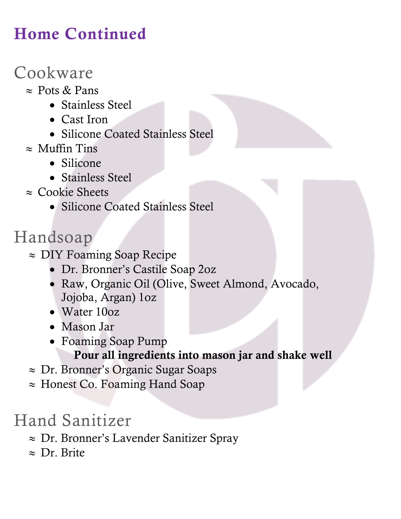## Home Continued

#### Cookware

- $\approx$  Pots & Pans
	- Stainless Steel
	- Cast Iron
	- Silicone Coated Stainless Steel
- $\approx$  Muffin Tins
	- Silicone
	- Stainless Steel
- $\approx$  Cookie Sheets
	- Silicone Coated Stainless Steel

### Handsoap

- $\approx$  DIY Foaming Soap Recipe
	- Dr. Bronner's Castile Soap 2oz
	- Raw, Organic Oil (Olive, Sweet Almond, Avocado, Jojoba, Argan) 1oz
	- Water 10oz
	- Mason Jar
	- Foaming Soap Pump Pour all ingredients into mason jar and shake well
- $\approx$  Dr. Bronner's Organic Sugar Soaps
- $\approx$  Honest Co. Foaming Hand Soap

## Hand Sanitizer

- $\approx$  Dr. Bronner's Lavender Sanitizer Spray
- $\approx$  Dr. Brite